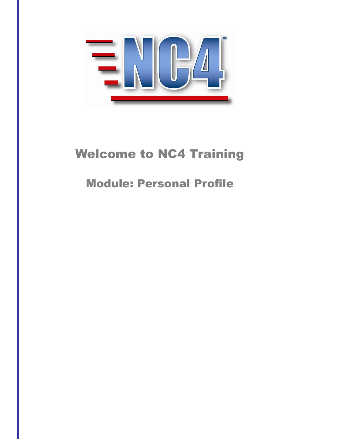

# Welcome to NC4 Training

# Module: Personal Profile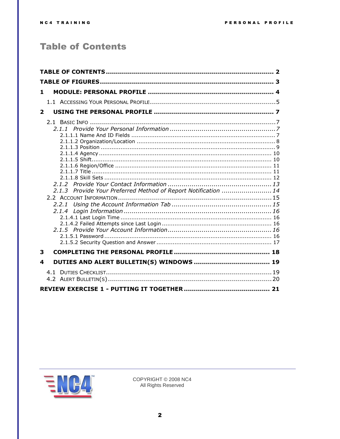# <span id="page-1-0"></span>**Table of Contents**

| 1.           |                                                                |  |  |  |
|--------------|----------------------------------------------------------------|--|--|--|
|              |                                                                |  |  |  |
| $\mathbf{2}$ |                                                                |  |  |  |
|              | 2.1.3 Provide Your Preferred Method of Report Notification  14 |  |  |  |
| 3            |                                                                |  |  |  |
| 4            |                                                                |  |  |  |
|              |                                                                |  |  |  |
|              |                                                                |  |  |  |

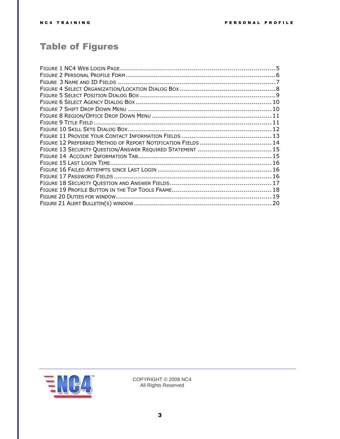# <span id="page-2-0"></span>Table of Figures

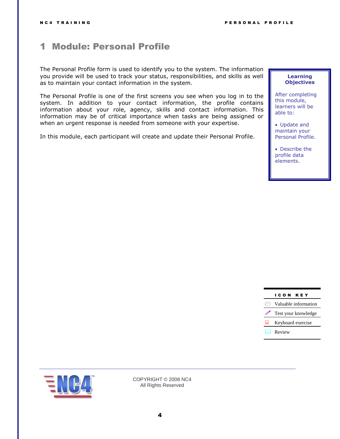# <span id="page-3-0"></span>1 Module: Personal Profile

The Personal Profile form is used to identify you to the system. The information you provide will be used to track your status, responsibilities, and skills as well as to maintain your contact information in the system.

The Personal Profile is one of the first screens you see when you log in to the system. In addition to your contact information, the profile contains information about your role, agency, skills and contact information. This information may be of critical importance when tasks are being assigned or when an urgent response is needed from someone with your expertise.

In this module, each participant will create and update their Personal Profile.

#### **Learning Objectives**

After completing this module, learners will be able to:

- Update and maintain your Personal Profile.
- Describe the profile data elements.

#### I C O N K E Y



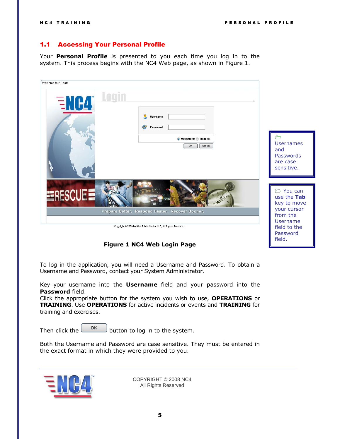# <span id="page-4-2"></span><span id="page-4-0"></span>1.1 Accessing Your Personal Profile

Your **Personal Profile** is presented to you each time you log in to the system. This process begins with the NC4 Web page, as shown in [Figure 1.](#page-4-1)



**Figure 1 NC4 Web Login Page**

<span id="page-4-1"></span>To log in the application, you will need a Username and Password. To obtain a Username and Password, contact your System Administrator.

Key your username into the **Username** field and your password into the **Password** field.

Click the appropriate button for the system you wish to use, **OPERATIONS** or **TRAINING**. Use **OPERATIONS** for active incidents or events and **TRAINING** for training and exercises.

Then click the  $\begin{bmatrix} 0 & \cdots \\ \cdots & 0 \end{bmatrix}$  button to log in to the system.

Both the Username and Password are case sensitive. They must be entered in the exact format in which they were provided to you.

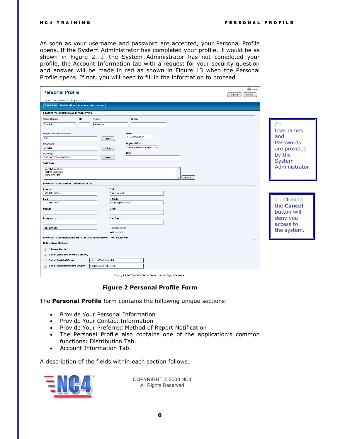As soon as your username and password are accepted, your Personal Profile opens. If the System Administrator has completed your profile, it would be as shown in [Figure 2.](#page-5-0) If the System Administrator has not completed your profile, the Account Information tab with a request for your security question and answer will be made in red as shown in [Figure 13](#page-14-2) when the Personal Profile opens. If not, you will need to fill in the information to proceed.

| $•$ Help<br><b>Personal Profile</b><br>Cancel<br>Submit                                                                                                                                   |                                |                                                                                                               |        |  |                                                                                            |
|-------------------------------------------------------------------------------------------------------------------------------------------------------------------------------------------|--------------------------------|---------------------------------------------------------------------------------------------------------------|--------|--|--------------------------------------------------------------------------------------------|
| *Red Label: indicates a required field.                                                                                                                                                   |                                |                                                                                                               |        |  |                                                                                            |
| <b>Basic Info</b> Distribution Account Information                                                                                                                                        |                                |                                                                                                               |        |  |                                                                                            |
|                                                                                                                                                                                           |                                |                                                                                                               |        |  |                                                                                            |
| PROVIDE YOUR PERSONAL INFORMATION:                                                                                                                                                        |                                |                                                                                                               |        |  |                                                                                            |
| *First Name:<br>MI:                                                                                                                                                                       | *Last:                         | ID No.                                                                                                        |        |  |                                                                                            |
| Content                                                                                                                                                                                   | Developer                      |                                                                                                               |        |  | $\curvearrowright$                                                                         |
| <b>Organization/Location:</b><br>EOC<br><b>Position:</b><br>Director<br>Agency:<br>Emergency Management<br><b>Skill Sets:</b><br>French Speaking<br>HazMat Specialist<br>Helicopter Pilot | Select<br>Select<br>Select     | Shift:<br>First 0700-1500<br>$\overline{\phantom{a}}$<br>Region/Office:<br>Field Operations Center +<br>Title | Select |  | <b>Usernames</b><br>and<br>Passwords<br>are provided<br>by the<br>System<br>Administrator. |
|                                                                                                                                                                                           |                                |                                                                                                               |        |  |                                                                                            |
| PROVIDE YOUR CONTACT INFORMATION:                                                                                                                                                         |                                |                                                                                                               |        |  |                                                                                            |
| Phone:<br>123-456-7890                                                                                                                                                                    | Cell:<br>123-456-7891          |                                                                                                               |        |  |                                                                                            |
|                                                                                                                                                                                           |                                |                                                                                                               |        |  |                                                                                            |
| Fax:<br>123-456-7892                                                                                                                                                                      | E-Mail:<br>abullen@cil-llc.com |                                                                                                               |        |  | Clicking                                                                                   |
| Pager:                                                                                                                                                                                    | Other:                         |                                                                                                               |        |  | the <b>Cancel</b><br>button will                                                           |
| Frequency:                                                                                                                                                                                | Call Sign:                     |                                                                                                               |        |  | deny you                                                                                   |
|                                                                                                                                                                                           |                                |                                                                                                               |        |  | access to                                                                                  |
| <b>Talk Group:</b>                                                                                                                                                                        | E Team User:<br>Yes (Autofill) |                                                                                                               |        |  | the system.                                                                                |
| PROVIDE YOUR PREFERRED METHOD OF E TEAM REPORT NOTIFICATION:                                                                                                                              |                                |                                                                                                               |        |  |                                                                                            |
| <b>Notification Method:</b>                                                                                                                                                               |                                |                                                                                                               |        |  |                                                                                            |
|                                                                                                                                                                                           |                                |                                                                                                               |        |  |                                                                                            |
| $\sqrt{ }$ E Team Alerts                                                                                                                                                                  |                                |                                                                                                               |        |  |                                                                                            |
| $\sqrt{ }$ E-mail (address entered above)<br><b>V</b> E-mail Enabled Pager:<br>iverizon@wireless.txt                                                                                      |                                |                                                                                                               |        |  |                                                                                            |
| <b>7</b> E-mail Enabled Mobile Device:                                                                                                                                                    | blackberry@mobile.com          |                                                                                                               |        |  |                                                                                            |
|                                                                                                                                                                                           |                                | Copyright @ 2009 by NC4 Public Sector LLC, All Rights Reserved.                                               |        |  |                                                                                            |

### **Figure 2 Personal Profile Form**

<span id="page-5-0"></span>The **Personal Profile** form contains the following unique sections:

- Provide Your Personal Information
- Provide Your Contact Information
- Provide Your Preferred Method of Report Notification
- The Personal Profile also contains one of the application's common functions: Distribution Tab.
- Account Information Tab.

A description of the fields within each section follows.

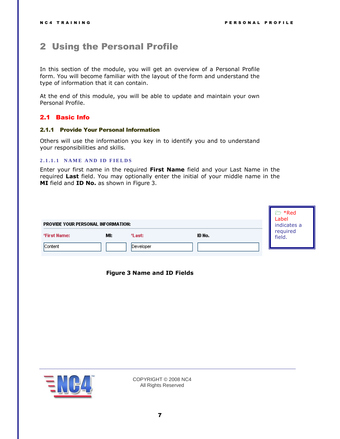# <span id="page-6-0"></span>2 Using the Personal Profile

In this section of the module, you will get an overview of a Personal Profile form. You will become familiar with the layout of the form and understand the type of information that it can contain.

At the end of this module, you will be able to update and maintain your own Personal Profile.

# <span id="page-6-1"></span>2.1 Basic Info

#### <span id="page-6-2"></span>2.1.1 Provide Your Personal Information

Others will use the information you key in to identify you and to understand your responsibilities and skills.

# <span id="page-6-3"></span>**2.1.1.1 NAME AND ID FIELDS**

Enter your first name in the required **First Name** field and your Last Name in the required **Last** field. You may optionally enter the initial of your middle name in the **MI** field and **ID No.** as shown in [Figure 3.](#page-6-4)

<span id="page-6-4"></span>

| PROVIDE YOUR PERSONAL INFORMATION: | <b>≥ *Red</b><br>Label<br>indicates a |        |                    |
|------------------------------------|---------------------------------------|--------|--------------------|
| MI:<br>*First Name:                | *Last:                                | ID No. | required<br>field. |
| Content                            | Developer                             |        |                    |

### **Figure 3 Name and ID Fields**

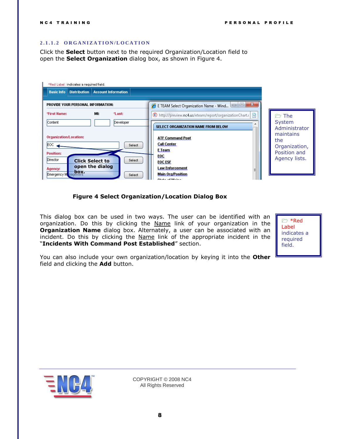### <span id="page-7-0"></span>**2 . 1 . 1 . 2 O R G A N I Z A T I O N / L O C A T I O N**

Click the **Select** button next to the required Organization/Location field to open the **Select Organization** dialog box, as shown in [Figure 4.](#page-7-1)

| *Red Label: indicates a required field.                                                                                                                                                                                 |                                                                                                                                                                                                                                            |                                                                                                                       |  |  |
|-------------------------------------------------------------------------------------------------------------------------------------------------------------------------------------------------------------------------|--------------------------------------------------------------------------------------------------------------------------------------------------------------------------------------------------------------------------------------------|-----------------------------------------------------------------------------------------------------------------------|--|--|
| <b>Account Information</b><br><b>Distribution</b><br><b>Basic Info</b>                                                                                                                                                  |                                                                                                                                                                                                                                            |                                                                                                                       |  |  |
| PROVIDE YOUR PERSONAL INFORMATION:<br>*Last:<br>*First Name:<br>MI:                                                                                                                                                     | $\mathbf{x}$<br>o<br>$=$<br>E TEAM Select Organization Name - Wind                                                                                                                                                                         |                                                                                                                       |  |  |
| Content<br>Developer<br><b>Organization/Location:</b><br>IEOC.<br>Select<br><b>Position:</b><br>Director<br>Select<br><b>Click Select to</b><br>open the dialog<br>Agency:<br>Emergency M <sub>nagement</sub><br>Select | ▩<br>http://preview.nc4.us/eteam/report/organizationChart.c<br>SELECT ORGANIZATION NAME FROM BELOW<br><b>ATF Command Post</b><br><b>Call Center</b><br>E Team<br>EOC<br><b>EOC ESF</b><br>Law Enforcement<br>Ξ<br><b>Main Org/Position</b> | $\triangleright$ The<br>System<br>Administrator<br>maintains<br>the<br>Organization,<br>Position and<br>Agency lists. |  |  |

### **Figure 4 Select Organization/Location Dialog Box**

<span id="page-7-1"></span>This dialog box can be used in two ways. The user can be identified with an organization. Do this by clicking the Name link of your organization in the **Organization Name** dialog box. Alternately, a user can be associated with an incident. Do this by clicking the Name link of the appropriate incident in the "**Incidents With Command Post Established**" section.

 \*Red Label indicates a required field.

You can also include your own organization/location by keying it into the **Other** field and clicking the **Add** button.

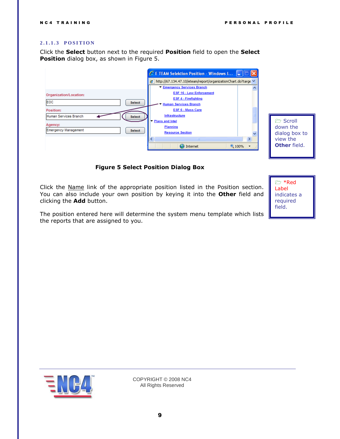#### <span id="page-8-0"></span>**2 . 1 . 1 . 3 P O S I T I O N**

Click the **Select** button next to the required **Position** field to open the **Select Position** dialog box, as shown in [Figure 5.](#page-8-1)



Scroll down the dialog box to view the **Other** field.

#### **Figure 5 Select Position Dialog Box**

<span id="page-8-1"></span>Click the Name link of the appropriate position listed in the Position section. You can also include your own position by keying it into the **Other** field and clicking the **Add** button.

The position entered here will determine the system menu template which lists the reports that are assigned to you.



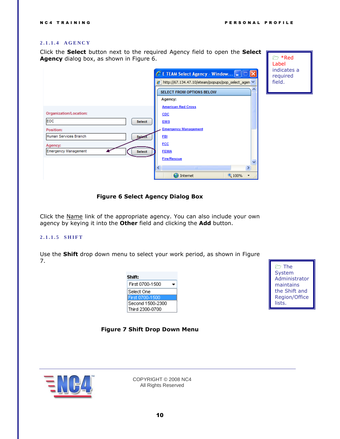#### <span id="page-9-0"></span>**2 . 1 . 1 . 4 A G E N C Y**

Click the **Select** button next to the required Agency field to open the **Select Agency** dialog box, as shown in [Figure 6.](#page-9-2)



 $\approx$  \*Red Label indicates a required field.

#### **Figure 6 Select Agency Dialog Box**

<span id="page-9-2"></span>Click the Name link of the appropriate agency. You can also include your own agency by keying it into the **Other** field and clicking the **Add** button.

#### <span id="page-9-1"></span>**2 . 1 . 1 . 5 S H I F T**

Use the **Shift** drop down menu to select your work period, as shown in [Figure](#page-9-3)  [7.](#page-9-3)

| Shift:           |  |  |
|------------------|--|--|
| First 0700-1500  |  |  |
| Select One       |  |  |
| First 0700-1500  |  |  |
| Second 1500-2300 |  |  |
| Third 2300-0700  |  |  |



**Figure 7 Shift Drop Down Menu**

<span id="page-9-3"></span>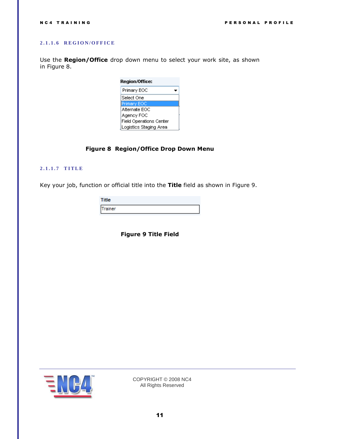# <span id="page-10-0"></span>**2 . 1 . 1 . 6 R E G I O N / O F F I C E**

Use the **Region/Office** drop down menu to select your work site, as shown in [Figure](#page-10-2) 8.

| Region/Office:          |  |  |
|-------------------------|--|--|
| Primary EOC             |  |  |
| Select One              |  |  |
| Primary EOC             |  |  |
| Alternate EOC           |  |  |
| Agency FOC              |  |  |
| Field Operations Center |  |  |
| Logistics Staging Area  |  |  |

# **Figure 8 Region/Office Drop Down Menu**

#### <span id="page-10-2"></span><span id="page-10-1"></span>**2 . 1 . 1 . 7 T I T L E**

<span id="page-10-3"></span>Key your job, function or official title into the **Title** field as shown in [Figure 9.](#page-10-3)

| ïtle   |  |
|--------|--|
| rainer |  |

**Figure 9 Title Field**

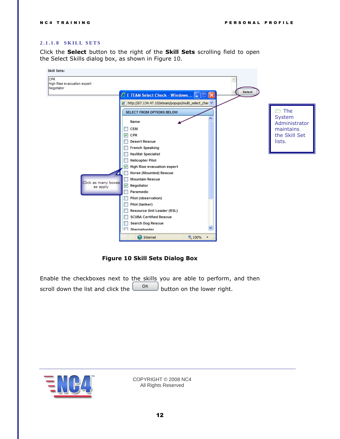#### <span id="page-11-0"></span>**2.1.1.8 SKILL SETS**

Click the **Select** button to the right of the **Skill Sets** scrolling field to open the Select Skills dialog box, as shown in [Figure 10.](#page-11-1)



**Figure 10 Skill Sets Dialog Box**

<span id="page-11-1"></span>Enable the checkboxes next to the skills you are able to perform, and then scroll down the list and click the  $\begin{bmatrix} 0 & \cdots \\ \cdots & \cdots \end{bmatrix}$  button on the lower right.

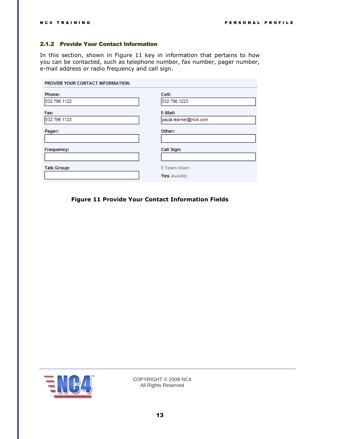# <span id="page-12-0"></span>2.1.2 Provide Your Contact Information

In this section, shown in [Figure 11](#page-12-1) key in information that pertains to how you can be contacted, such as telephone number, fax number, pager number, e-mail address or radio frequency and call sign.

| PROVIDE YOUR CONTACT INFORMATION: |                                  |  |
|-----------------------------------|----------------------------------|--|
| Phone:<br>532 796 1122            | Cell:<br>532 796 1223            |  |
| Fax:<br>532 796 1123              | E-Mail:<br>paula.learner@nc4.com |  |
| Pager:                            | Other:                           |  |
| Frequency:                        | Call Sign:                       |  |
| <b>Talk Group:</b>                | E Team User:                     |  |
|                                   | Yes (Autofill)                   |  |

<span id="page-12-1"></span>**Figure 11 Provide Your Contact Information Fields**

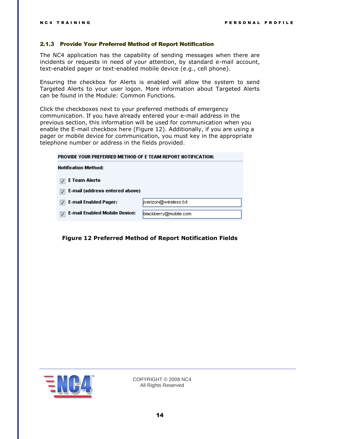#### <span id="page-13-0"></span>2.1.3 Provide Your Preferred Method of Report Notification

The NC4 application has the capability of sending messages when there are incidents or requests in need of your attention, by standard e-mail account, text-enabled pager or text-enabled mobile device (e.g., cell phone).

Ensuring the checkbox for Alerts is enabled will allow the system to send Targeted Alerts to your user logon. More information about Targeted Alerts can be found in the Module: Common Functions.

Click the checkboxes next to your preferred methods of emergency communication. If you have already entered your e-mail address in the previous section, this information will be used for communication when you enable the E-mail checkbox here [\(Figure 12\)](#page-13-1). Additionally, if you are using a pager or mobile device for communication, you must key in the appropriate telephone number or address in the fields provided.

| PROVIDE YOUR PREFERRED METHOD OF E TEAM REPORT NOTIFICATION: |                        |  |
|--------------------------------------------------------------|------------------------|--|
| <b>Notification Method:</b>                                  |                        |  |
| E Team Alerts                                                |                        |  |
| E-mail (address entered above)                               |                        |  |
| <b>E-mail Enabled Pager:</b>                                 | jiverizon@wireless.txt |  |
| <b>E-mail Enabled Mobile Device:</b>                         | blackberry@mobile.com  |  |

<span id="page-13-1"></span>**Figure 12 Preferred Method of Report Notification Fields**

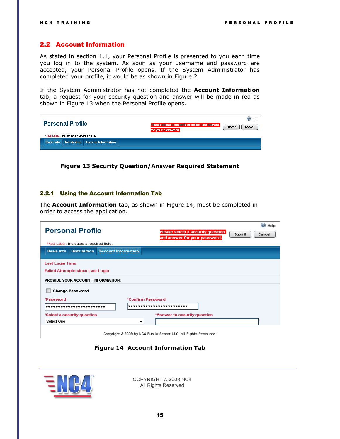# <span id="page-14-0"></span>2.2 Account Information

As stated in section [1.1,](#page-4-2) your Personal Profile is presented to you each time you log in to the system. As soon as your username and password are accepted, your Personal Profile opens. If the System Administrator has completed your profile, it would be as shown in [Figure 2.](#page-5-0)

If the System Administrator has not completed the **Account Information** tab, a request for your security question and answer will be made in red as shown in [Figure 13](#page-14-2) when the Personal Profile opens.

|  |                         |                                         |                                                          | C Help                                                                                 |
|--|-------------------------|-----------------------------------------|----------------------------------------------------------|----------------------------------------------------------------------------------------|
|  | <b>Personal Profile</b> |                                         |                                                          | Please select a security question and answer<br>Submit<br>Cancel<br>for your password. |
|  |                         | *Red Label: indicates a required field. |                                                          |                                                                                        |
|  |                         |                                         | <b>Basic Info   Distribution   Account Information  </b> |                                                                                        |
|  |                         |                                         |                                                          |                                                                                        |

<span id="page-14-2"></span>**Figure 13 Security Question/Answer Required Statement**

#### <span id="page-14-1"></span>2.2.1 Using the Account Information Tab

The **Account Information** tab, as shown in [Figure 14,](#page-14-3) must be completed in order to access the application.

|                                                                                                        | <b>Personal Profile</b><br>*Red Label: indicates a required field. |                            | Help<br>Please select a security question  <br>Submit<br>Cancel<br>and answer for your password. |  |
|--------------------------------------------------------------------------------------------------------|--------------------------------------------------------------------|----------------------------|--------------------------------------------------------------------------------------------------|--|
| <b>Basic Info</b>                                                                                      | <b>Distribution</b>                                                | <b>Account Information</b> |                                                                                                  |  |
| <b>Last Login Time</b><br><b>Failed Attempts since Last Login</b><br>PROVIDE YOUR ACCOUNT INFORMATION: |                                                                    |                            |                                                                                                  |  |
| <b>Change Password</b>                                                                                 |                                                                    |                            |                                                                                                  |  |
| *Confirm Password<br>*Password<br>                                                                     |                                                                    |                            |                                                                                                  |  |
| Select One                                                                                             | *Select a security question                                        | ▼                          | *Answer to security question                                                                     |  |

Copyright @ 2009 by NC4 Public Sector LLC, All Rights Reserved.

# **Figure 14 Account Information Tab**

<span id="page-14-3"></span>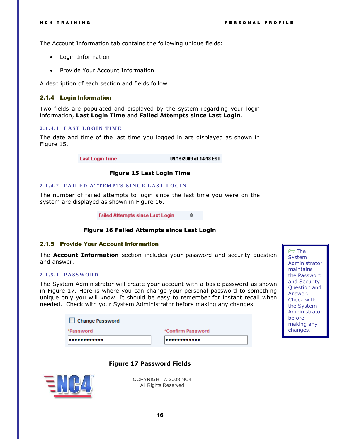**n** The **System** Administrator maintains the Password and Security Question and Answer. Check with the System Administrator before making any changes.

The Account Information tab contains the following unique fields:

- Login Information
- Provide Your Account Information

A description of each section and fields follow.

### <span id="page-15-0"></span>2.1.4 Login Information

Two fields are populated and displayed by the system regarding your login information, **Last Login Time** and **Failed Attempts since Last Login**.

#### <span id="page-15-1"></span>**2.1.4.1 LAST LOGIN TIME**

The date and time of the last time you logged in are displayed as shown in [Figure 15.](#page-15-5)

> **Last Login Time** 09/15/2009 at 14:18 EST

#### **Figure 15 Last Login Time**

#### <span id="page-15-5"></span><span id="page-15-2"></span>**2.1.4.2 FAILED ATTEMPTS SINCE LAST LOGIN**

The number of failed attempts to login since the last time you were on the system are displayed as shown in [Figure 16.](#page-15-6)

> **Failed Attempts since Last Login** 0

### **Figure 16 Failed Attempts since Last Login**

#### <span id="page-15-6"></span><span id="page-15-3"></span>2.1.5 Provide Your Account Information

The **Account Information** section includes your password and security question and answer.

# <span id="page-15-4"></span>**2 . 1 . 5 . 1 P A S S W O R D**

The System Administrator will create your account with a basic password as shown in [Figure 17.](#page-15-7) Here is where you can change your personal password to something unique only you will know. It should be easy to remember for instant recall when needed. Check with your System Administrator before making any changes.

| <b>Change Password</b> |                   |
|------------------------|-------------------|
| *Password              | *Confirm Password |
|                        |                   |

**Figure 17 Password Fields**

<span id="page-15-7"></span>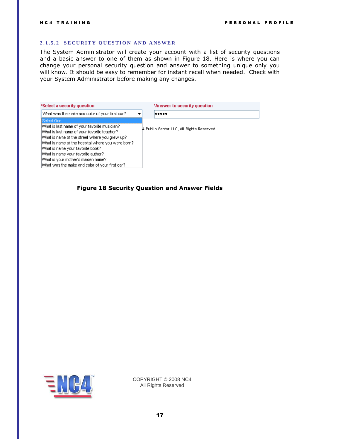# <span id="page-16-0"></span>**2.1.5.2 SECURITY QUESTION AND ANSWER**

The System Administrator will create your account with a list of security questions and a basic answer to one of them as shown in [Figure 18.](#page-16-1) Here is where you can change your personal security question and answer to something unique only you will know. It should be easy to remember for instant recall when needed. Check with your System Administrator before making any changes.

| *Select a security question                       | *Answer to security question              |
|---------------------------------------------------|-------------------------------------------|
| What was the make and color of your first car?    |                                           |
| Select One                                        |                                           |
| What is last name of your favorite musician?      | 4 Public Sector LLC, All Rights Reserved. |
| What is last name of your favorite teacher?       |                                           |
| What is name of the street where you grew up?     |                                           |
| What is name of the hospital where you were born? |                                           |
| What is name your favorite book?                  |                                           |
| What is name your favorite author?                |                                           |
| What is your mother's maiden name?                |                                           |
| What was the make and color of your first car?    |                                           |

<span id="page-16-1"></span>**Figure 18 Security Question and Answer Fields**

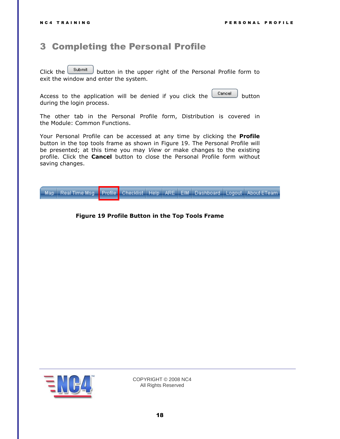# <span id="page-17-0"></span>3 Completing the Personal Profile

Click the  $\Box$  button in the upper right of the Personal Profile form to exit the window and enter the system.

Access to the application will be denied if you click the  $\Box$  button during the login process.

The other tab in the Personal Profile form, Distribution is covered in the Module: Common Functions.

Your Personal Profile can be accessed at any time by clicking the **Profile** button in the top tools frame as shown in [Figure 19.](#page-17-1) The Personal Profile will be presented; at this time you may *View* or make changes to the existing profile. Click the **Cancel** button to close the Personal Profile form without saving changes.

<span id="page-17-1"></span>Checklist | Help | ARE | EIM | Dashboard | Logout | About ETeam Map Real Time Msg **Profile** 

### **Figure 19 Profile Button in the Top Tools Frame**

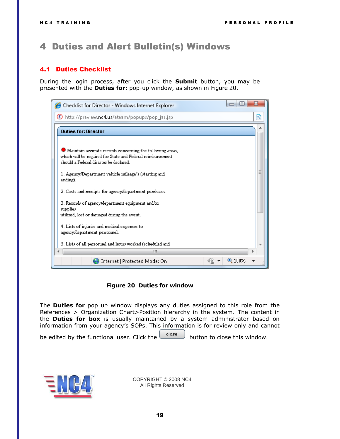# <span id="page-18-0"></span>4 Duties and Alert Bulletin(s) Windows

# <span id="page-18-1"></span>4.1 Duties Checklist

During the login process, after you click the **Submit** button, you may be presented with the **Duties for:** pop-up window, as shown in [Figure 20.](#page-18-2)



#### **Figure 20 Duties for window**

<span id="page-18-2"></span>The **Duties for** pop up window displays any duties assigned to this role from the References > Organization Chart>Position hierarchy in the system. The content in the **Duties for box** is usually maintained by a system administrator based on information from your agency's SOPs. This information is for review only and cannot

be edited by the functional user. Click the  $\begin{bmatrix} \text{close} \\ \text{close} \end{bmatrix}$  button to close this window.

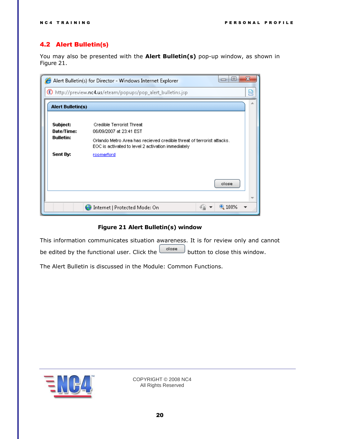# <span id="page-19-0"></span>4.2 Alert Bulletin(s)

You may also be presented with the **Alert Bulletin(s)** pop-up window, as shown in [Figure 21.](#page-19-1)

| $\vert$ $\Box$<br>$\Box$<br>Alert Bulletin(s) for Director - Windows Internet Explorer |                                                                                                                             |  |
|----------------------------------------------------------------------------------------|-----------------------------------------------------------------------------------------------------------------------------|--|
|                                                                                        | http://preview.nc4.us/eteam/popups/pop_alert_bulletins.jsp                                                                  |  |
| <b>Alert Bulletin(s)</b>                                                               |                                                                                                                             |  |
| Subject:<br>Date/Time:                                                                 | <b>Credible Terrorist Threat</b><br>06/09/2007 at 23:41 EST                                                                 |  |
| <b>Bulletin:</b>                                                                       | Orlando Metro Area has recieved credible threat of terrorist attacks.<br>EOC is activated to level 2 activation immediately |  |
| Sent By:                                                                               | rcomerford                                                                                                                  |  |
|                                                                                        |                                                                                                                             |  |
|                                                                                        | close                                                                                                                       |  |
|                                                                                        |                                                                                                                             |  |
|                                                                                        | $4100\%$<br>Internet   Protected Mode: On                                                                                   |  |

# **Figure 21 Alert Bulletin(s) window**

<span id="page-19-1"></span>This information communicates situation awareness. It is for review only and cannot be edited by the functional user. Click the  $\left\lfloor \frac{\text{close}}{\text{close}} \right\rfloor$  button to close this window.

The Alert Bulletin is discussed in the Module: Common Functions.

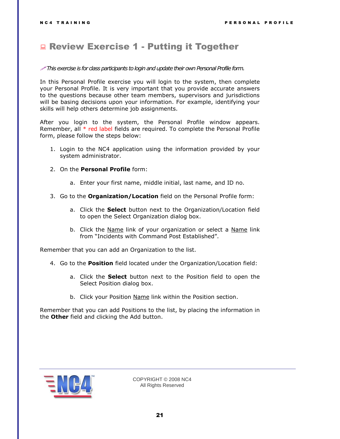# <span id="page-20-0"></span>**Review Exercise 1 - Putting it Together**

#### *This exercise is for class participants to login and update their own Personal Profile form.*

In this Personal Profile exercise you will login to the system, then complete your Personal Profile. It is very important that you provide accurate answers to the questions because other team members, supervisors and jurisdictions will be basing decisions upon your information. For example, identifying your skills will help others determine job assignments.

After you login to the system, the Personal Profile window appears. Remember, all  $*$  red label fields are required. To complete the Personal Profile form, please follow the steps below:

- 1. Login to the NC4 application using the information provided by your system administrator.
- 2. On the **Personal Profile** form:
	- a. Enter your first name, middle initial, last name, and ID no.
- 3. Go to the **Organization/Location** field on the Personal Profile form:
	- a. Click the **Select** button next to the Organization/Location field to open the Select Organization dialog box.
	- b. Click the Name link of your organization or select a Name link from "Incidents with Command Post Established".

Remember that you can add an Organization to the list.

- 4. Go to the **Position** field located under the Organization/Location field:
	- a. Click the **Select** button next to the Position field to open the Select Position dialog box.
	- b. Click your Position Name link within the Position section.

Remember that you can add Positions to the list, by placing the information in the **Other** field and clicking the Add button.

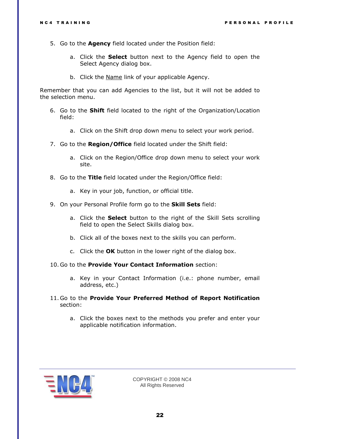- 5. Go to the **Agency** field located under the Position field:
	- a. Click the **Select** button next to the Agency field to open the Select Agency dialog box.
	- b. Click the Name link of your applicable Agency.

Remember that you can add Agencies to the list, but it will not be added to the selection menu.

- 6. Go to the **Shift** field located to the right of the Organization/Location field:
	- a. Click on the Shift drop down menu to select your work period.
- 7. Go to the **Region/Office** field located under the Shift field:
	- a. Click on the Region/Office drop down menu to select your work site.
- 8. Go to the **Title** field located under the Region/Office field:
	- a. Key in your job, function, or official title.
- 9. On your Personal Profile form go to the **Skill Sets** field:
	- a. Click the **Select** button to the right of the Skill Sets scrolling field to open the Select Skills dialog box.
	- b. Click all of the boxes next to the skills you can perform.
	- c. Click the **OK** button in the lower right of the dialog box.
- 10. Go to the **Provide Your Contact Information** section:
	- a. Key in your Contact Information (i.e.: phone number, email address, etc.)
- 11. Go to the **Provide Your Preferred Method of Report Notification** section:
	- a. Click the boxes next to the methods you prefer and enter your applicable notification information.